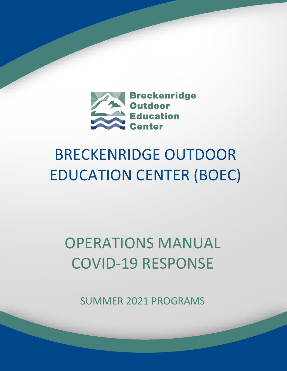

# BRECKENRIDGE OUTDOOR EDUCATION CENTER (BOEC)

# OPERATIONS MANUAL COVID-19 RESPONSE

SUMMER 2021 PROGRAMS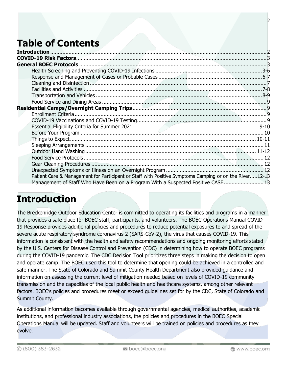# **Table of Contents**

| Patient Care & Management for Participant or Staff with Positive Symptoms Camping or on the River12-13 |  |
|--------------------------------------------------------------------------------------------------------|--|
| Management of Staff Who Have Been on a Program With a Suspected Positive CASE 13                       |  |

## **Introduction**

The Breckenridge Outdoor Education Center is committed to operating its facilities and programs in a manner that provides a safe place for BOEC staff, participants, and volunteers. The BOEC Operations Manual COVID-19 Response provides additional policies and procedures to reduce potential exposures to and spread of the severe acute respiratory syndrome coronavirus 2 (SARS-CoV-2), the virus that causes COVID-19. This information is consistent with the health and safety recommendations and ongoing monitoring efforts stated by the U.S. Centers for Disease Control and Prevention (CDC) in determining how to operate BOEC programs during the COVID-19 pandemic. The CDC Decision Tool prioritizes three steps in making the decision to open and operate camp. The BOEC used this tool to determine that opening could be achieved in a controlled and safe manner. The State of Colorado and Summit County Health Department also provided guidance and information on assessing the current level of mitigation needed based on levels of COVID-19 community transmission and the capacities of the local public health and healthcare systems, among other relevant factors. BOEC's policies and procedures meet or exceed guidelines set for by the CDC, State of Colorado and Summit County.

As additional information becomes available through governmental agencies, medical authorities, academic institutions, and professional industry associations, the policies and procedures in the BOEC Special Operations Manual will be updated. Staff and volunteers will be trained on policies and procedures as they evolve.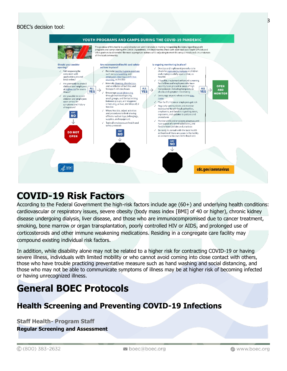

## **COVID-19 Risk Factors**

According to the Federal Government the high-risk factors include age (60+) and underlying health conditions: cardiovascular or respiratory issues, severe obesity (body mass index [BMI] of 40 or higher), chronic kidney disease undergoing dialysis, liver disease, and those who are immunocompromised due to cancer treatment, smoking, bone marrow or organ transplantation, poorly controlled HIV or AIDS, and prolonged use of corticosteroids and other immune weakening medications. Residing in a congregate care facility may compound existing individual risk factors.

In addition, while disability alone may not be related to a higher risk for contracting COVID-19 or having severe illness, individuals with limited mobility or who cannot avoid coming into close contact with others, those who have trouble practicing preventative measure such as hand washing and social distancing, and those who may not be able to communicate symptoms of illness may be at higher risk of becoming infected or having unrecognized illness.

# **General BOEC Protocols**

## **Health Screening and Preventing COVID-19 Infections**

**Staff Health- Program Staff**

**Regular Screening and Assessment**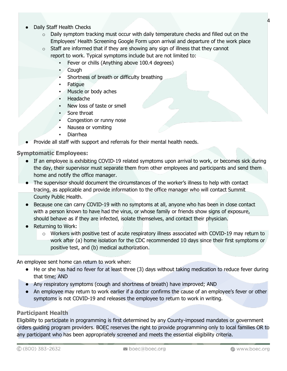- Daily Staff Health Checks
	- o Daily symptom tracking must occur with daily temperature checks and filled out on the Employees' Health Screening Google Form upon arrival and departure of the work place
	- $\circ$  Staff are informed that if they are showing any sign of illness that they cannot report to work. Typical symptoms include but are not limited to:
		- **•** Fever or chills (Anything above 100.4 degrees)
		- Cough
		- Shortness of breath or difficulty breathing
		- **Fatigue**
		- Muscle or body aches
		- **Headache**
		- New loss of taste or smell
		- Sore throat
		- Congestion or runny nose
		- Nausea or vomiting
		- **Diarrhea**
- Provide all staff with support and referrals for their mental health needs.

#### **Symptomatic Employees:**

- If an employee is exhibiting COVID-19 related symptoms upon arrival to work, or becomes sick during the day, their supervisor must separate them from other employees and participants and send them home and notify the office manager.
- The supervisor should document the circumstances of the worker's illness to help with contact tracing, as applicable and provide information to the office manager who will contact Summit County Public Health.
- Because one can carry COVID-19 with no symptoms at all, anyone who has been in close contact with a person known to have had the virus, or whose family or friends show signs of exposure, should behave as if they are infected, isolate themselves, and contact their physician.
- Returning to Work:
	- $\circ$  Workers with positive test of acute respiratory illness associated with COVID-19 may return to work after (a) home isolation for the CDC recommended 10 days since their first symptoms or positive test, and (b) medical authorization.

An employee sent home can return to work when:

- He or she has had no fever for at least three (3) days without taking medication to reduce fever during that time; AND
- Any respiratory symptoms (cough and shortness of breath) have improved; AND
- An employee may return to work earlier if a doctor confirms the cause of an employee's fever or other symptoms is not COVID-19 and releases the employee to return to work in writing.

#### **Participant Health**

Eligibility to participate in programming is first determined by any County-imposed mandates or government orders guiding program providers. BOEC reserves the right to provide programming only to local families OR to any participant who has been appropriately screened and meets the essential eligibility criteria.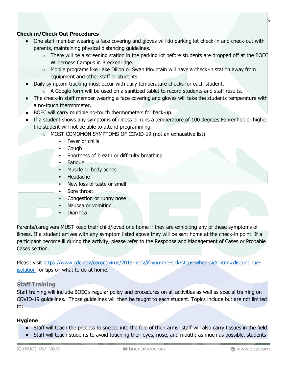#### **Check in/Check Out Procedures**

- One staff member wearing a face covering and gloves will do parking lot check-in and check-out with parents, maintaining physical distancing guidelines.
	- $\circ$  There will be a screening station in the parking lot before students are dropped off at the BOEC Wilderness Campus in Breckenridge.
	- o Mobile programs like Lake Dillon or Swan Mountain will have a check-in station away from equipment and other staff or students.
- Daily symptom tracking must occur with daily temperature checks for each student.
	- $\circ$  A Google form will be used on a sanitized tablet to record students and staff results.
- The check-in staff member wearing a face covering and gloves will take the students temperature with a no-touch thermometer.
- BOEC will carry multiple no-touch thermometers for back-up.
- If a student shows any symptoms of illness or runs a temperature of 100 degrees Fahrenheit or higher, the student will not be able to attend programming.
	- o MOST COMOMON SYMPTOMS OF COVID-19 (not an exhaustive list)
		- Fever or chills
		- **Cough**
		- **Shortness of breath or difficulty breathing**
		- Fatigue
		- Muscle or body aches
		- Headache
		- New loss of taste or smell
		- Sore throat
		- Congestion or runny nose
		- Nausea or vomiting
		- **Diarrhea**

Parents/caregivers MUST keep their child/loved one home if they are exhibiting any of these symptoms of illness. If a student arrives with any symptom listed above they will be sent home at the check-in point. If a participant become ill during the activity, please refer to the Response and Management of Cases or Probable Cases section.

Please visit [https://www.cdc.gov/coronavirus/2019-ncov/if-you-are-sick/steps-when-sick.html#discontinue](https://www.cdc.gov/coronavirus/2019-ncov/if-you-are-sick/steps-when-sick.html%23discontinue-isolation)[isolation](https://www.cdc.gov/coronavirus/2019-ncov/if-you-are-sick/steps-when-sick.html%23discontinue-isolation) for tips on what to do at home.

#### **Staff Training**

Staff training will include BOEC's regular policy and procedures on all activities as well as special training on COVID-19 guidelines. Those guidelines will then be taught to each student. Topics include but are not limited to:

#### **Hygiene**

- Staff will teach the process to sneeze into the fold of their arms; staff will also carry tissues in the field.
- Staff will teach students to avoid touching their eyes, nose, and mouth; as much as possible, students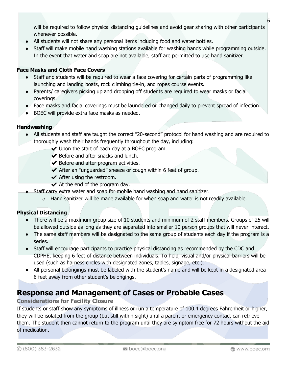will be required to follow physical distancing guidelines and avoid gear sharing with other participants whenever possible.

- All students will not share any personal items including food and water bottles.
- Staff will make mobile hand washing stations available for washing hands while programming outside. In the event that water and soap are not available, staff are permitted to use hand sanitizer.

#### **Face Masks and Cloth Face Covers**

- Staff and students will be required to wear a face covering for certain parts of programming like launching and landing boats, rock climbing tie-in, and ropes course events.
- Parents/ caregivers picking up and dropping off students are required to wear masks or facial coverings.
- Face masks and facial coverings must be laundered or changed daily to prevent spread of infection.
- BOEC will provide extra face masks as needed.

#### **Handwashing**

- All students and staff are taught the correct "20-second" protocol for hand washing and are required to thoroughly wash their hands frequently throughout the day, including:
	- $\vee$  Upon the start of each day at a BOEC program.
	- $\blacktriangleright$  Before and after snacks and lunch.
	- $\blacktriangleright$  Before and after program activities.
	- ◆ After an "unguarded" sneeze or cough within 6 feet of group.
	- $\blacktriangleright$  After using the restroom.
	- $\blacktriangleright$  At the end of the program day.
	- Staff carry extra water and soap for mobile hand washing and hand sanitizer.
		- $\circ$  Hand sanitizer will be made available for when soap and water is not readily available.

#### **Physical Distancing**

- There will be a maximum group size of 10 students and minimum of 2 staff members. Groups of 25 will be allowed outside as long as they are separated into smaller 10 person groups that will never interact.
- The same staff members will be designated to the same group of students each day if the program is a series.
- Staff will encourage participants to practice physical distancing as recommended by the CDC and CDPHE, keeping 6 feet of distance between individuals. To help, visual and/or physical barriers will be used (such as harness circles with designated zones, tables, signage, etc.).
- All personal belongings must be labeled with the student's name and will be kept in a designated area 6 feet away from other student's belongings.

## **Response and Management of Cases or Probable Cases**

#### **Considerations for Facility Closure**

If students or staff show any symptoms of illness or run a temperature of 100.4 degrees Fahrenheit or higher, they will be isolated from the group (but still within sight) until a parent or emergency contact can retrieve them. The student then cannot return to the program until they are symptom free for 72 hours without the aid of medication.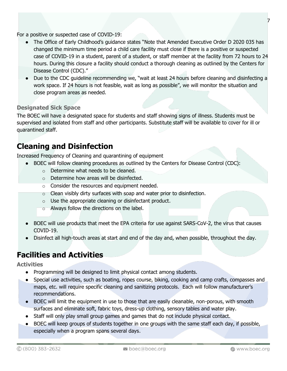For a positive or suspected case of COVID-19:

- The Office of Early Childhood's guidance states "Note that Amended Executive Order D 2020 035 has changed the minimum time period a child care facility must close if there is a positive or suspected case of COVID-19 in a student, parent of a student, or staff member at the facility from 72 hours to 24 hours. During this closure a facility should conduct a thorough cleaning as outlined by the Centers for Disease Control (CDC)."
- Due to the CDC guideline recommending we, "wait at least 24 hours before cleaning and disinfecting a work space. If 24 hours is not feasible, wait as long as possible", we will monitor the situation and close program areas as needed.

#### **Designated Sick Space**

The BOEC will have a designated space for students and staff showing signs of illness. Students must be supervised and isolated from staff and other participants. Substitute staff will be available to cover for ill or quarantined staff.

## **Cleaning and Disinfection**

Increased Frequency of Cleaning and quarantining of equipment

- BOEC will follow cleaning procedures as outlined by the Centers for Disease Control (CDC):
	- o Determine what needs to be cleaned.
	- o Determine how areas will be disinfected.
	- o Consider the resources and equipment needed.
	- o Clean visibly dirty surfaces with soap and water prior to disinfection.
	- $\circ$  Use the appropriate cleaning or disinfectant product.
	- o Always follow the directions on the label.
- BOEC will use products that meet the EPA criteria for use against SARS-CoV-2, the virus that causes COVID-19.
- Disinfect all high-touch areas at start and end of the day and, when possible, throughout the day.

## **Facilities and Activities**

**Activities**

- Programming will be designed to limit physical contact among students.
- Special use activities, such as boating, ropes course, biking, cooking and camp crafts, compasses and maps, etc. will require specific cleaning and sanitizing protocols. Each will follow manufacturer's recommendations.
- BOEC will limit the equipment in use to those that are easily cleanable, non-porous, with smooth surfaces and eliminate soft, fabric toys, dress-up clothing, sensory tables and water play.
- Staff will only play small group games and games that do not include physical contact.
- BOEC will keep groups of students together in one groups with the same staff each day, if possible, especially when a program spans several days.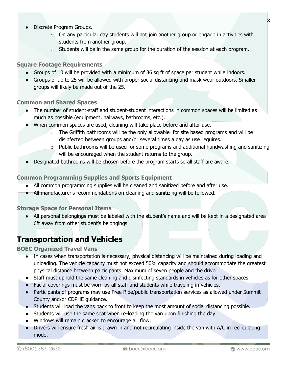- $\circ$  On any particular day students will not join another group or engage in activities with students from another group.
- $\circ$  Students will be in the same group for the duration of the session at each program.

#### **Square Footage Requirements**

- Groups of 10 will be provided with a minimum of 36 sq ft of space per student while indoors.
- Groups of up to 25 will be allowed with proper social distancing and mask wear outdoors. Smaller groups will likely be made out of the 25.

#### **Common and Shared Spaces**

- The number of student-staff and student-student interactions in common spaces will be limited as much as possible (equipment, hallways, bathrooms, etc.).
- When common spaces are used, cleaning will take place before and after use.
	- $\circ$  The Griffith bathrooms will be the only allowable for site based programs and will be disinfected between groups and/or several times a day as use requires.
	- $\circ$  Public bathrooms will be used for some programs and additional handwashing and sanitizing will be encouraged when the student returns to the group.
- Designated bathrooms will be chosen before the program starts so all staff are aware.

#### **Common Programming Supplies and Sports Equipment**

- All common programming supplies will be cleaned and sanitized before and after use.
- All manufacturer's recommendations on cleaning and sanitizing will be followed.

#### **Storage Space for Personal Items**

● All personal belongings must be labeled with the student's name and will be kept in a designated area 6ft away from other student's belongings.

## **Transportation and Vehicles**

#### **BOEC Organized Travel Vans**

- In cases when transportation is necessary, physical distancing will be maintained during loading and unloading. The vehicle capacity must not exceed 50% capacity and should accommodate the greatest physical distance between participants. Maximum of seven people and the driver.
- Staff must uphold the same cleaning and disinfecting standards in vehicles as for other spaces.
- Facial coverings must be worn by all staff and students while traveling in vehicles.
- Participants of programs may use Free Ride/public transportation services as allowed under Summit County and/or CDPHE guidance.
- Students will load the vans back to front to keep the most amount of social distancing possible.
- Students will use the same seat when re-loading the van upon finishing the day.
- Windows will remain cracked to encourage air flow.
- Drivers will ensure fresh air is drawn in and not recirculating inside the van with A/C in recirculating mode.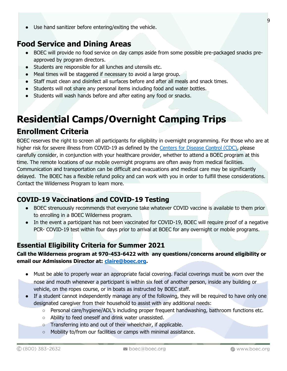● Use hand sanitizer before entering/exiting the vehicle.

## **Food Service and Dining Areas**

- BOEC will provide no food service on day camps aside from some possible pre-packaged snacks preapproved by program directors.
- Students are responsible for all lunches and utensils etc.
- Meal times will be staggered if necessary to avoid a large group.
- Staff must clean and disinfect all surfaces before and after all meals and snack times.
- Students will not share any personal items including food and water bottles.
- Students will wash hands before and after eating any food or snacks.

# **Residential Camps/Overnight Camping Trips**

## **Enrollment Criteria**

BOEC reserves the right to screen all participants for eligibility in overnight programming. For those who are at higher risk for severe illness from COVID-19 as defined by the [Centers for Disease Control \(CDC\),](https://www.cdc.gov/coronavirus/2019-ncov/need-extra-precautions/people-at-higher-risk.html) please carefully consider, in conjunction with your healthcare provider, whether to attend a BOEC program at this time. The remote locations of our mobile overnight programs are often away from medical facilities. Communication and transportation can be difficult and evacuations and medical care may be significantly delayed. The BOEC has a flexible refund policy and can work with you in order to fulfill these considerations. Contact the Wilderness Program to learn more.

## **COVID-19 Vaccinations and COVID-19 Testing**

- BOEC strenuously recommends that everyone take whatever COVID vaccine is available to them prior to enrolling in a BOEC Wilderness program.
- In the event a participant has not been vaccinated for COVID-19, BOEC will require proof of a negative PCR- COVID-19 test within four days prior to arrival at BOEC for any overnight or mobile programs.

## **Essential Eligibility Criteria for Summer 2021**

#### **Call the Wilderness program at 970-453-6422 with any questions/concerns around eligibility or email our Admissions Director at: [claire@boec.org.](mailto:claire@boec.org)**

- Must be able to properly wear an appropriate facial covering. Facial coverings must be worn over the nose and mouth whenever a participant is within six feet of another person, inside any building or vehicle, on the ropes course, or in boats as instructed by BOEC staff.
- If a student cannot independently manage any of the following, they will be required to have only one designated caregiver from their household to assist with any additional needs:
	- $\circ$  Personal care/hygiene/ADL's including proper frequent handwashing, bathroom functions etc.
	- Ability to feed oneself and drink water unassisted.
	- Transferring into and out of their wheelchair, if applicable.
	- Mobility to/from our facilities or camps with minimal assistance.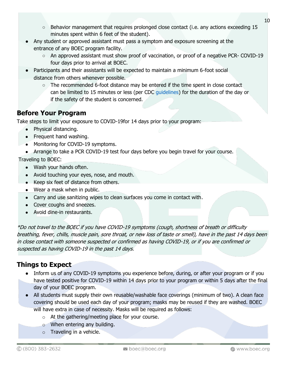- $\circ$  Behavior management that requires prolonged close contact (i.e. any actions exceeding 15 minutes spent within 6 feet of the student).
- Any student or approved assistant must pass a symptom and exposure screening at the entrance of any BOEC program facility.
	- An approved assistant must show proof of vaccination, or proof of a negative PCR- COVID-19 four days prior to arrival at BOEC.
- Participants and their assistants will be expected to maintain a minimum 6-foot social distance from others whenever possible.
	- The recommended 6-foot distance may be entered if the time spent in close contact can be limited to 15 minutes or less (per CDC guidelines) for the duration of the day or if the safety of the student is concerned.

## **Before Your Program**

Take steps to limit your exposure to COVID-19for 14 days prior to your program:

- Physical distancing.
- Frequent hand washing.
- Monitoring for COVID-19 symptoms.
- Arrange to take a PCR COVID-19 test four days before you begin travel for your course.

Traveling to BOEC:

- Wash your hands often.
- Avoid touching your eyes, nose, and mouth.
- Keep six feet of distance from others.
- Wear a mask when in public.
- Carry and use sanitizing wipes to clean surfaces you come in contact with.
- Cover coughs and sneezes.
- Avoid dine-in restaurants.

\*Do not travel to the BOEC if you have COVID-19 symptoms (cough, shortness of breath or difficulty breathing, fever, chills, muscle pain, sore throat, or new loss of taste or smell), have in the past 14 days been in close contact with someone suspected or confirmed as having COVID-19, or if you are confirmed or suspected as having COVID-19 in the past 14 days.

## **Things to Expect**

- Inform us of any COVID-19 symptoms you experience before, during, or after your program or if you have tested positive for COVID-19 within 14 days prior to your program or within 5 days after the final day of your BOEC program.
- All students must supply their own reusable/washable face coverings (minimum of two). A clean face covering should be used each day of your program; masks may be reused if they are washed. BOEC will have extra in case of necessity. Masks will be required as follows:
	- o At the gathering/meeting place for your course.
	- o When entering any building.
	- $\circ$  Traveling in a vehicle.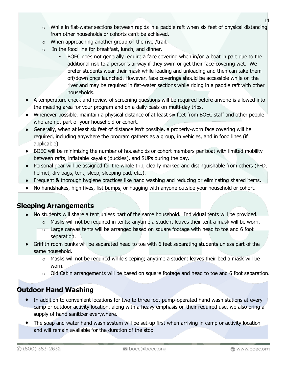- $\circ$  While in flat-water sections between rapids in a paddle raft when six feet of physical distancing from other households or cohorts can't be achieved.
- $\circ$  When approaching another group on the river/trail.
- o In the food line for breakfast, lunch, and dinner.
	- BOEC does not generally require a face covering when in/on a boat in part due to the additional risk to a person's airway if they swim or get their face-covering wet. We prefer students wear their mask while loading and unloading and then can take them off/down once launched. However, face coverings should be accessible while on the river and may be required in flat-water sections while riding in a paddle raft with other households.
- A temperature check and review of screening questions will be required before anyone is allowed into the meeting area for your program and on a daily basis on multi-day trips.
- Whenever possible, maintain a physical distance of at least six feet from BOEC staff and other people who are not part of your household or cohort.
- Generally, when at least six feet of distance isn't possible, a properly-worn face covering will be required, including anywhere the program gathers as a group, in vehicles, and in food lines (if applicable).
- BOEC will be minimizing the number of households or cohort members per boat with limited mobility between rafts, inflatable kayaks (duckies), and SUPs during the day.
- Personal gear will be assigned for the whole trip, clearly marked and distinguishable from others (PFD, helmet, dry bags, tent, sleep, sleeping pad, etc.).
- Frequent & thorough hygiene practices like hand washing and reducing or eliminating shared items.
- No handshakes, high fives, fist bumps, or hugging with anyone outside your household or cohort.

#### **Sleeping Arrangements**

- No students will share a tent unless part of the same household. Individual tents will be provided.
	- $\circ$  Masks will not be required in tents; anytime a student leaves their tent a mask will be worn.
	- o Large canvas tents will be arranged based on square footage with head to toe and 6 foot separation.
- Griffith room bunks will be separated head to toe with 6 feet separating students unless part of the same household.
	- $\circ$  Masks will not be required while sleeping; anytime a student leaves their bed a mask will be worn.
	- $\circ$  Old Cabin arrangements will be based on square footage and head to toe and 6 foot separation.

## **Outdoor Hand Washing**

- In addition to convenient locations for two to three foot pump-operated hand wash stations at every camp or outdoor activity location, along with a heavy emphasis on their required use, we also bring a supply of hand sanitizer everywhere.
- The soap and water hand wash system will be set-up first when arriving in camp or activity location and will remain available for the duration of the stop.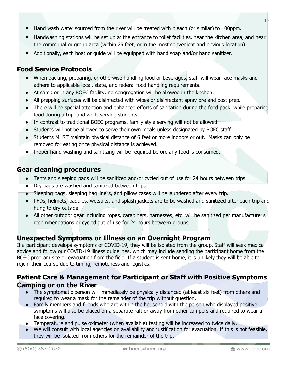- Hand wash water sourced from the river will be treated with bleach (or similar) to 100ppm.
- Handwashing stations will be set up at the entrance to toilet facilities, near the kitchen area, and near the communal or group area (within 25 feet, or in the most convenient and obvious location).
- Additionally, each boat or guide will be equipped with hand soap and/or hand sanitizer.

## **Food Service Protocols**

- When packing, preparing, or otherwise handling food or beverages, staff will wear face masks and adhere to applicable local, state, and federal food handling requirements.
- At camp or in any BOEC facility, no congregation will be allowed in the kitchen.
- All prepping surfaces will be disinfected with wipes or disinfectant spray pre and post prep.
- There will be special attention and enhanced efforts of sanitation during the food pack, while preparing food during a trip, and while serving students.
- In contrast to traditional BOEC programs, family style serving will not be allowed.
- Students will not be allowed to serve their own meals unless designated by BOEC staff.
- Students MUST maintain physical distance of 6 feet or more indoors or out. Masks can only be removed for eating once physical distance is achieved.
- Proper hand washing and sanitizing will be required before any food is consumed.

### **Gear cleaning procedures**

- Tents and sleeping pads will be sanitized and/or cycled out of use for 24 hours between trips.
- Dry bags are washed and sanitized between trips.
- Sleeping bags, sleeping bag liners, and pillow cases will be laundered after every trip.
- PFDs, helmets, paddles, wetsuits, and splash jackets are to be washed and sanitized after each trip and hung to dry outside.
- All other outdoor gear including ropes, carabiners, harnesses, etc. will be sanitized per manufacturer's recommendations or cycled out of use for 24 hours between groups.

## **Unexpected Symptoms or Illness on an Overnight Program**

If a participant develops symptoms of COVID-19, they will be isolated from the group. Staff will seek medical advice and follow our COVID-19 illness guidelines, which may include sending the participant home from the BOEC program site or evacuation from the field. If a student is sent home, it is unlikely they will be able to rejoin their course due to timing, remoteness and logistics.

#### **Patient Care & Management for Participant or Staff with Positive Symptoms Camping or on the River**

- The symptomatic person will immediately be physically distanced (at least six feet) from others and required to wear a mask for the remainder of the trip without question.
- Family members and friends who are within the household with the person who displayed positive symptoms will also be placed on a separate raft or away from other campers and required to wear a face covering.
- Temperature and pulse oximeter (when available) testing will be increased to twice daily.
- We will consult with local agencies on availability and justification for evacuation. If this is not feasible, they will be isolated from others for the remainder of the trip.